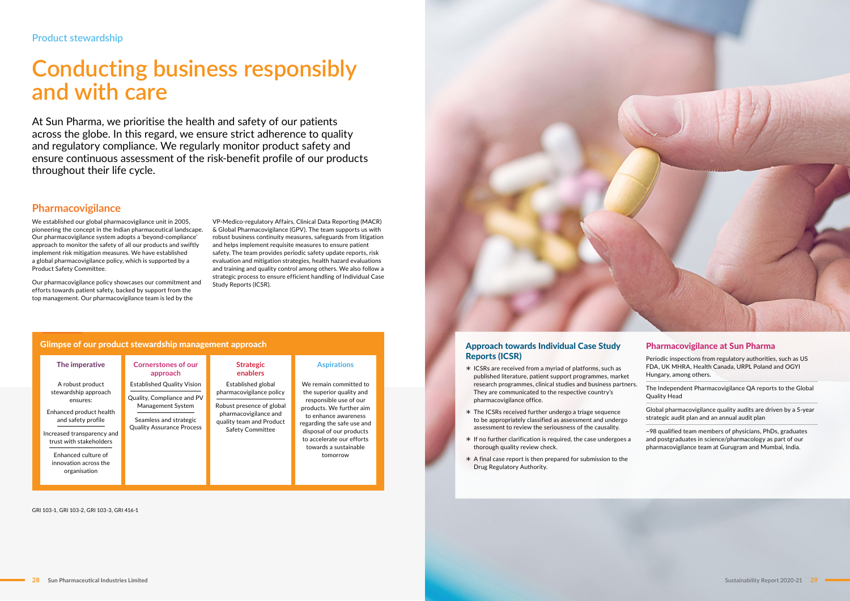At Sun Pharma, we prioritise the health and safety of our patients across the globe. In this regard, we ensure strict adherence to quality and regulatory compliance. We regularly monitor product safety and ensure continuous assessment of the risk-benefit profile of our products throughout their life cycle.

# **Conducting business responsibly and with care**

### **Pharmacovigilance**

### Approach towards Individual Case Study Reports (ICSR)

We established our global pharmacovigilance unit in 2005, pioneering the concept in the Indian pharmaceutical landscape. Our pharmacovigilance system adopts a 'beyond-compliance' approach to monitor the safety of all our products and swiftly implement risk mitigation measures. We have established a global pharmacovigilance policy, which is supported by a Product Safety Committee.

Our pharmacovigilance policy showcases our commitment and efforts towards patient safety, backed by support from the top management. Our pharmacovigilance team is led by the

- ½ ICSRs are received from a myriad of platforms, such as published literature, patient support programmes, market research programmes, clinical studies and business partners. They are communicated to the respective country's pharmacovigilance office.
- ½ The ICSRs received further undergo a triage sequence to be appropriately classified as assessment and undergo assessment to review the seriousness of the causality.
- ½ If no further clarification is required, the case undergoes a thorough quality review check.
- ½ A final case report is then prepared for submission to the Drug Regulatory Authority.

#### Pharmacovigilance at Sun Pharma

Periodic inspections from regulatory authorities, such as US FDA, UK MHRA, Health Canada, URPL Poland and OGYI Hungary, among others.

The Independent Pharmacovigilance QA reports to the Global Quality Head

Global pharmacovigilance quality audits are driven by a 5-year strategic audit plan and an annual audit plan

~98 qualified team members of physicians, PhDs, graduates and postgraduates in science/pharmacology as part of our pharmacovigilance team at Gurugram and Mumbai, India.

|                                                                                                                                                                                                                                | Glimpse of our product stewardship management approach                                                                                             |                                                                                                                                                             |                                                                                                                                                                                                                                                              |
|--------------------------------------------------------------------------------------------------------------------------------------------------------------------------------------------------------------------------------|----------------------------------------------------------------------------------------------------------------------------------------------------|-------------------------------------------------------------------------------------------------------------------------------------------------------------|--------------------------------------------------------------------------------------------------------------------------------------------------------------------------------------------------------------------------------------------------------------|
| The imperative                                                                                                                                                                                                                 | <b>Cornerstones of our</b><br>approach                                                                                                             | <b>Strategic</b><br>enablers                                                                                                                                | <b>Aspirations</b>                                                                                                                                                                                                                                           |
| A robust product<br>stewardship approach<br>ensures:<br>Enhanced product health<br>and safety profile<br>Increased transparency and<br>trust with stakeholders<br>Enhanced culture of<br>innovation across the<br>organisation | <b>Established Quality Vision</b><br>Quality, Compliance and PV<br>Management System<br>Seamless and strategic<br><b>Quality Assurance Process</b> | Established global<br>pharmacovigilance policy<br>Robust presence of global<br>pharmacovigilance and<br>quality team and Product<br><b>Safety Committee</b> | We remain committed to<br>the superior quality and<br>responsible use of our<br>products. We further aim<br>to enhance awareness<br>regarding the safe use and<br>disposal of our products<br>to accelerate our efforts<br>towards a sustainable<br>tomorrow |

GRI 103-1, GRI 103-2, GRI 103-3, GRI 416-1

VP-Medico-regulatory Affairs, Clinical Data Reporting (MACR) & Global Pharmacovigilance (GPV). The team supports us with robust business continuity measures, safeguards from litigation and helps implement requisite measures to ensure patient safety. The team provides periodic safety update reports, risk evaluation and mitigation strategies, health hazard evaluations and training and quality control among others. We also follow a strategic process to ensure efficient handling of Individual Case Study Reports (ICSR).